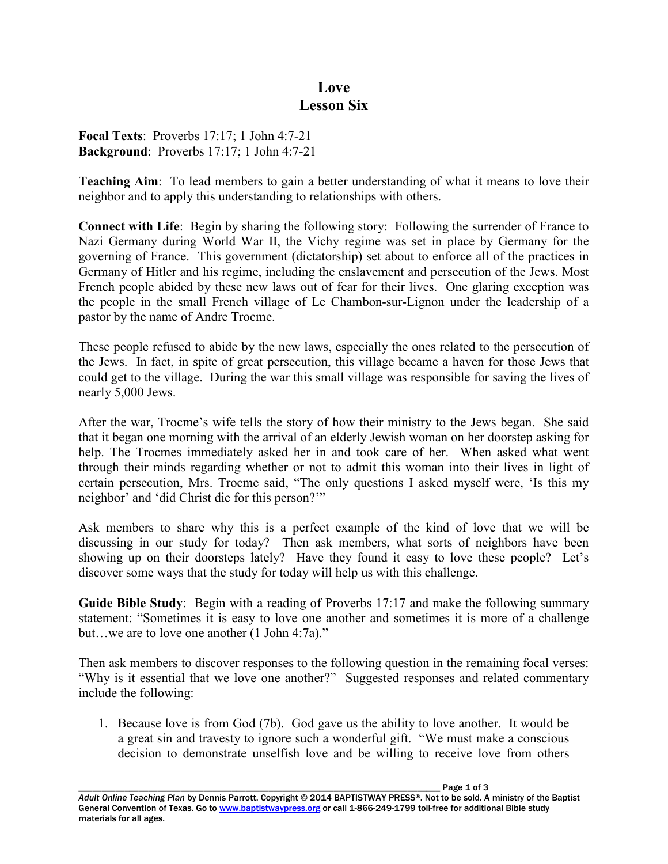## **Love Lesson Six**

**Focal Texts**: Proverbs 17:17; 1 John 4:7-21 **Background**: Proverbs 17:17; 1 John 4:7-21

**Teaching Aim**: To lead members to gain a better understanding of what it means to love their neighbor and to apply this understanding to relationships with others.

**Connect with Life**: Begin by sharing the following story: Following the surrender of France to Nazi Germany during World War II, the Vichy regime was set in place by Germany for the governing of France. This government (dictatorship) set about to enforce all of the practices in Germany of Hitler and his regime, including the enslavement and persecution of the Jews. Most French people abided by these new laws out of fear for their lives. One glaring exception was the people in the small French village of Le Chambon-sur-Lignon under the leadership of a pastor by the name of Andre Trocme.

These people refused to abide by the new laws, especially the ones related to the persecution of the Jews. In fact, in spite of great persecution, this village became a haven for those Jews that could get to the village. During the war this small village was responsible for saving the lives of nearly 5,000 Jews.

After the war, Trocme's wife tells the story of how their ministry to the Jews began. She said that it began one morning with the arrival of an elderly Jewish woman on her doorstep asking for help. The Trocmes immediately asked her in and took care of her. When asked what went through their minds regarding whether or not to admit this woman into their lives in light of certain persecution, Mrs. Trocme said, "The only questions I asked myself were, 'Is this my neighbor' and 'did Christ die for this person?'"

Ask members to share why this is a perfect example of the kind of love that we will be discussing in our study for today? Then ask members, what sorts of neighbors have been showing up on their doorsteps lately? Have they found it easy to love these people? Let's discover some ways that the study for today will help us with this challenge.

**Guide Bible Study**: Begin with a reading of Proverbs 17:17 and make the following summary statement: "Sometimes it is easy to love one another and sometimes it is more of a challenge but…we are to love one another (1 John 4:7a)."

Then ask members to discover responses to the following question in the remaining focal verses: "Why is it essential that we love one another?" Suggested responses and related commentary include the following:

1. Because love is from God (7b). God gave us the ability to love another. It would be a great sin and travesty to ignore such a wonderful gift. "We must make a conscious decision to demonstrate unselfish love and be willing to receive love from others

Page 1 of 3 *Adult Online Teaching Plan* by Dennis Parrott. Copyright © 2014 BAPTISTWAY PRESS®. Not to be sold. A ministry of the Baptist General Convention of Texas. Go to www.baptistwaypress.org or call 1-866-249-1799 toll-free for additional Bible study materials for all ages.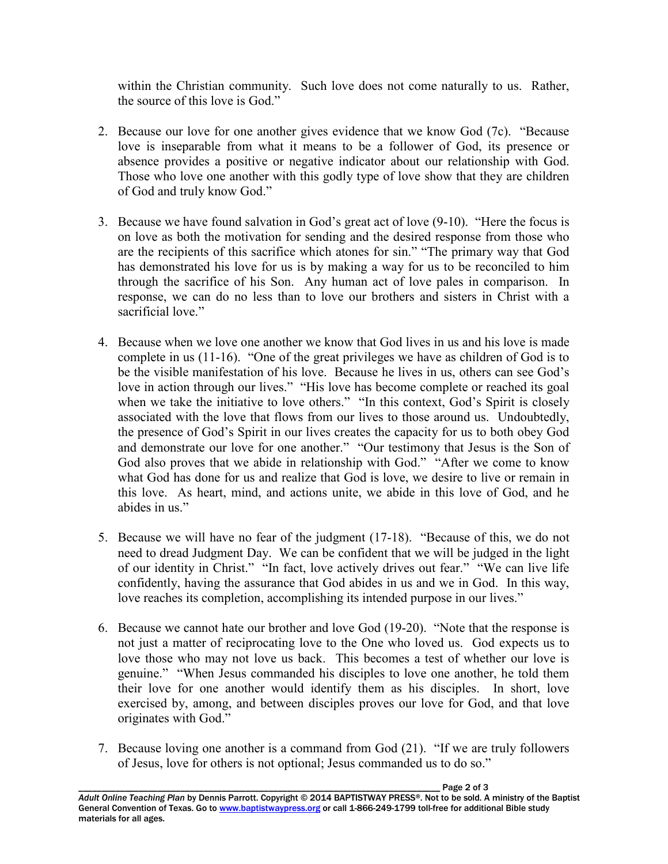within the Christian community. Such love does not come naturally to us. Rather, the source of this love is God."

- 2. Because our love for one another gives evidence that we know God (7c). "Because love is inseparable from what it means to be a follower of God, its presence or absence provides a positive or negative indicator about our relationship with God. Those who love one another with this godly type of love show that they are children of God and truly know God."
- 3. Because we have found salvation in God's great act of love (9-10). "Here the focus is on love as both the motivation for sending and the desired response from those who are the recipients of this sacrifice which atones for sin." "The primary way that God has demonstrated his love for us is by making a way for us to be reconciled to him through the sacrifice of his Son. Any human act of love pales in comparison. In response, we can do no less than to love our brothers and sisters in Christ with a sacrificial love."
- 4. Because when we love one another we know that God lives in us and his love is made complete in us (11-16). "One of the great privileges we have as children of God is to be the visible manifestation of his love. Because he lives in us, others can see God's love in action through our lives." "His love has become complete or reached its goal when we take the initiative to love others." "In this context, God's Spirit is closely associated with the love that flows from our lives to those around us. Undoubtedly, the presence of God's Spirit in our lives creates the capacity for us to both obey God and demonstrate our love for one another." "Our testimony that Jesus is the Son of God also proves that we abide in relationship with God." "After we come to know what God has done for us and realize that God is love, we desire to live or remain in this love. As heart, mind, and actions unite, we abide in this love of God, and he abides in us."
- 5. Because we will have no fear of the judgment (17-18). "Because of this, we do not need to dread Judgment Day. We can be confident that we will be judged in the light of our identity in Christ." "In fact, love actively drives out fear." "We can live life confidently, having the assurance that God abides in us and we in God. In this way, love reaches its completion, accomplishing its intended purpose in our lives."
- 6. Because we cannot hate our brother and love God (19-20). "Note that the response is not just a matter of reciprocating love to the One who loved us. God expects us to love those who may not love us back. This becomes a test of whether our love is genuine." "When Jesus commanded his disciples to love one another, he told them their love for one another would identify them as his disciples. In short, love exercised by, among, and between disciples proves our love for God, and that love originates with God."
- 7. Because loving one another is a command from God (21). "If we are truly followers of Jesus, love for others is not optional; Jesus commanded us to do so."

Page 2 of 3 *Adult Online Teaching Plan* by Dennis Parrott. Copyright © 2014 BAPTISTWAY PRESS®. Not to be sold. A ministry of the Baptist General Convention of Texas. Go to www.baptistwaypress.org or call 1-866-249-1799 toll-free for additional Bible study materials for all ages.